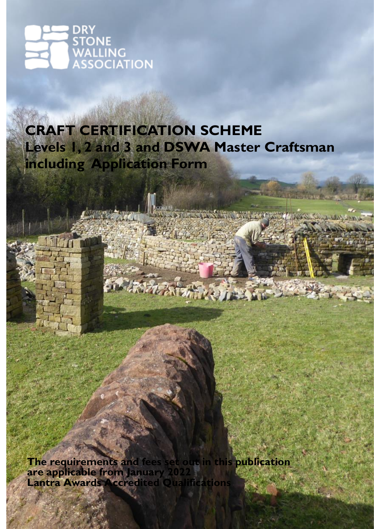

# **CRAFT CERTIFICATION SCHEME Levels 1, 2 and 3 and DSWA Master Craftsman including Application Form**

**MILLING** 

新闻的社会

**The requirements and fees set out in this publication are applicable from January 2022 Lantra Awards Accredited Qualifications**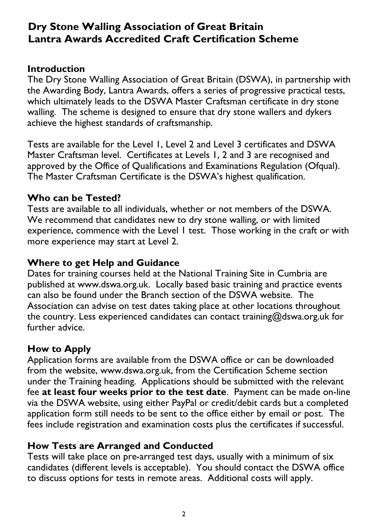# **Dry Stone Walling Association of Great Britain Lantra Awards Accredited Craft Certification Scheme**

#### **Introduction**

The Dry Stone Walling Association of Great Britain (DSWA), in partnership with the Awarding Body, Lantra Awards, offers a series of progressive practical tests, which ultimately leads to the DSWA Master Craftsman certificate in dry stone walling. The scheme is designed to ensure that dry stone wallers and dykers achieve the highest standards of craftsmanship.

Tests are available for the Level 1, Level 2 and Level 3 certificates and DSWA Master Craftsman level. Certificates at Levels 1, 2 and 3 are recognised and approved by the Office of Qualifications and Examinations Regulation (Ofqual). The Master Craftsman Certificate is the DSWA's highest qualification.

#### **Who can be Tested?**

Tests are available to all individuals, whether or not members of the DSWA. We recommend that candidates new to dry stone walling, or with limited experience, commence with the Level 1 test. Those working in the craft or with more experience may start at Level 2.

#### **Where to get Help and Guidance**

Dates for training courses held at the National Training Site in Cumbria are published at www.dswa.org.uk. Locally based basic training and practice events can also be found under the Branch section of the DSWA website. The Association can advise on test dates taking place at other locations throughout the country. Less experienced candidates can contact training@dswa.org.uk for further advice.

#### **How to Apply**

Application forms are available from the DSWA office or can be downloaded from the website, www.dswa.org.uk, from the Certification Scheme section under the Training heading. Applications should be submitted with the relevant fee **at least four weeks prior to the test date**. Payment can be made on-line via the DSWA website, using either PayPal or credit/debit cards but a completed application form still needs to be sent to the office either by email or post. The fees include registration and examination costs plus the certificates if successful.

#### **How Tests are Arranged and Conducted**

Tests will take place on pre-arranged test days, usually with a minimum of six candidates (different levels is acceptable). You should contact the DSWA office to discuss options for tests in remote areas. Additional costs will apply.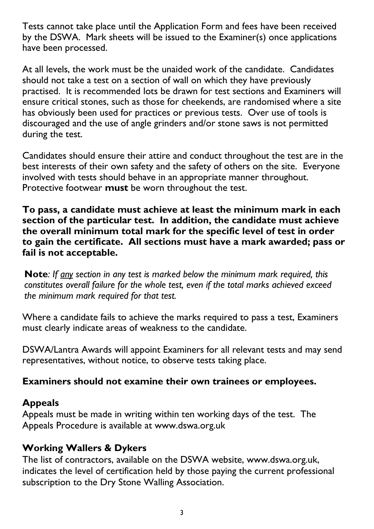Tests cannot take place until the Application Form and fees have been received by the DSWA. Mark sheets will be issued to the Examiner(s) once applications have been processed.

At all levels, the work must be the unaided work of the candidate. Candidates should not take a test on a section of wall on which they have previously practised. It is recommended lots be drawn for test sections and Examiners will ensure critical stones, such as those for cheekends, are randomised where a site has obviously been used for practices or previous tests. Over use of tools is discouraged and the use of angle grinders and/or stone saws is not permitted during the test.

Candidates should ensure their attire and conduct throughout the test are in the best interests of their own safety and the safety of others on the site. Everyone involved with tests should behave in an appropriate manner throughout. Protective footwear **must** be worn throughout the test.

**To pass, a candidate must achieve at least the minimum mark in each section of the particular test. In addition, the candidate must achieve the overall minimum total mark for the specific level of test in order to gain the certificate. All sections must have a mark awarded; pass or fail is not acceptable.**

**Note***: If any section in any test is marked below the minimum mark required, this constitutes overall failure for the whole test, even if the total marks achieved exceed the minimum mark required for that test.*

Where a candidate fails to achieve the marks required to pass a test, Examiners must clearly indicate areas of weakness to the candidate.

DSWA/Lantra Awards will appoint Examiners for all relevant tests and may send representatives, without notice, to observe tests taking place.

#### **Examiners should not examine their own trainees or employees.**

#### **Appeals**

Appeals must be made in writing within ten working days of the test. The Appeals Procedure is available at www.dswa.org.uk

# **Working Wallers & Dykers**

The list of contractors, available on the DSWA website, www.dswa.org.uk, indicates the level of certification held by those paying the current professional subscription to the Dry Stone Walling Association.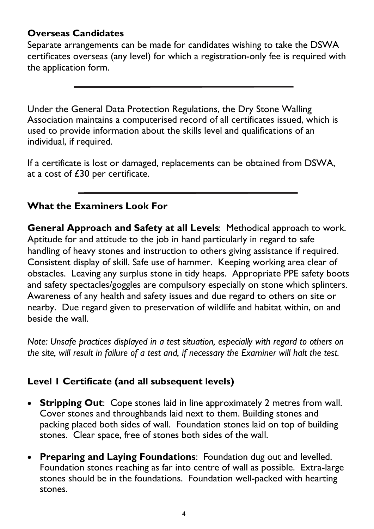# **Overseas Candidates**

Separate arrangements can be made for candidates wishing to take the DSWA certificates overseas (any level) for which a registration-only fee is required with the application form.

Under the General Data Protection Regulations, the Dry Stone Walling Association maintains a computerised record of all certificates issued, which is used to provide information about the skills level and qualifications of an individual, if required.

If a certificate is lost or damaged, replacements can be obtained from DSWA, at a cost of £30 per certificate.

# **What the Examiners Look For**

**General Approach and Safety at all Levels**: Methodical approach to work. Aptitude for and attitude to the job in hand particularly in regard to safe handling of heavy stones and instruction to others giving assistance if required. Consistent display of skill. Safe use of hammer. Keeping working area clear of obstacles. Leaving any surplus stone in tidy heaps. Appropriate PPE safety boots and safety spectacles/goggles are compulsory especially on stone which splinters. Awareness of any health and safety issues and due regard to others on site or nearby. Due regard given to preservation of wildlife and habitat within, on and beside the wall.

*Note: Unsafe practices displayed in a test situation, especially with regard to others on the site, will result in failure of a test and, if necessary the Examiner will halt the test.* 

# **Level 1 Certificate (and all subsequent levels)**

- **Stripping Out**: Cope stones laid in line approximately 2 metres from wall. Cover stones and throughbands laid next to them. Building stones and packing placed both sides of wall. Foundation stones laid on top of building stones. Clear space, free of stones both sides of the wall.
- **Preparing and Laying Foundations**: Foundation dug out and levelled. Foundation stones reaching as far into centre of wall as possible. Extra-large stones should be in the foundations. Foundation well-packed with hearting stones.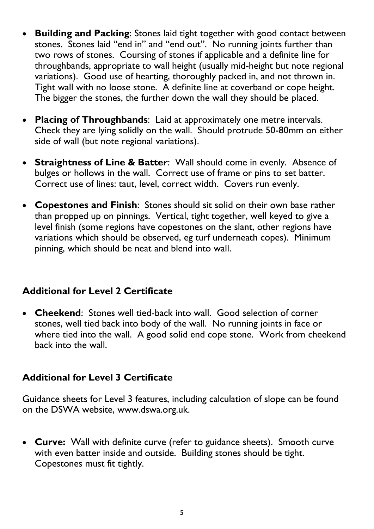- **Building and Packing**: Stones laid tight together with good contact between stones. Stones laid "end in" and "end out". No running joints further than two rows of stones. Coursing of stones if applicable and a definite line for throughbands, appropriate to wall height (usually mid-height but note regional variations). Good use of hearting, thoroughly packed in, and not thrown in. Tight wall with no loose stone. A definite line at coverband or cope height. The bigger the stones, the further down the wall they should be placed.
- **Placing of Throughbands**: Laid at approximately one metre intervals. Check they are lying solidly on the wall. Should protrude 50-80mm on either side of wall (but note regional variations).
- **Straightness of Line & Batter**: Wall should come in evenly. Absence of bulges or hollows in the wall. Correct use of frame or pins to set batter. Correct use of lines: taut, level, correct width. Covers run evenly.
- **Copestones and Finish**: Stones should sit solid on their own base rather than propped up on pinnings. Vertical, tight together, well keyed to give a level finish (some regions have copestones on the slant, other regions have variations which should be observed, eg turf underneath copes). Minimum pinning, which should be neat and blend into wall.

#### **Additional for Level 2 Certificate**

• **Cheekend**: Stones well tied-back into wall. Good selection of corner stones, well tied back into body of the wall. No running joints in face or where tied into the wall. A good solid end cope stone. Work from cheekend back into the wall.

#### **Additional for Level 3 Certificate**

Guidance sheets for Level 3 features, including calculation of slope can be found on the DSWA website, www.dswa.org.uk.

• **Curve:** Wall with definite curve (refer to guidance sheets). Smooth curve with even batter inside and outside. Building stones should be tight. Copestones must fit tightly.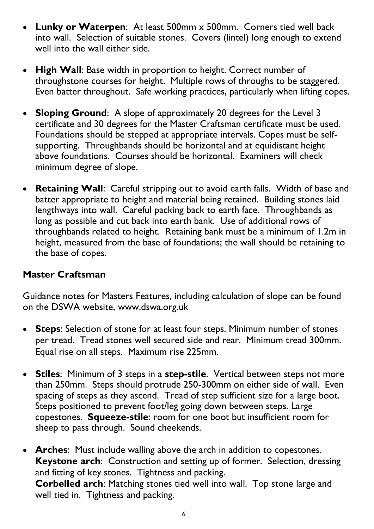- **Lunky or Waterpen**: At least 500mm x 500mm. Corners tied well back into wall. Selection of suitable stones. Covers (lintel) long enough to extend well into the wall either side.
- **High Wall**: Base width in proportion to height. Correct number of throughstone courses for height. Multiple rows of throughs to be staggered. Even batter throughout. Safe working practices, particularly when lifting copes.
- **Sloping Ground**: A slope of approximately 20 degrees for the Level 3 certificate and 30 degrees for the Master Craftsman certificate must be used. Foundations should be stepped at appropriate intervals. Copes must be selfsupporting. Throughbands should be horizontal and at equidistant height above foundations. Courses should be horizontal. Examiners will check minimum degree of slope.
- **Retaining Wall**: Careful stripping out to avoid earth falls. Width of base and batter appropriate to height and material being retained. Building stones laid lengthways into wall. Careful packing back to earth face. Throughbands as long as possible and cut back into earth bank. Use of additional rows of throughbands related to height. Retaining bank must be a minimum of 1.2m in height, measured from the base of foundations; the wall should be retaining to the base of copes.

# **Master Craftsman**

Guidance notes for Masters Features, including calculation of slope can be found on the DSWA website, www.dswa.org.uk

- **Steps**: Selection of stone for at least four steps. Minimum number of stones per tread. Tread stones well secured side and rear. Minimum tread 300mm. Equal rise on all steps. Maximum rise 225mm.
- **Stiles**: Minimum of 3 steps in a **step-stile**. Vertical between steps not more than 250mm. Steps should protrude 250-300mm on either side of wall. Even spacing of steps as they ascend. Tread of step sufficient size for a large boot. Steps positioned to prevent foot/leg going down between steps. Large copestones. **Squeeze-stile**: room for one boot but insufficient room for sheep to pass through. Sound cheekends.
- **Arches**: Must include walling above the arch in addition to copestones. **Keystone arch**: Construction and setting up of former. Selection, dressing and fitting of key stones. Tightness and packing. **Corbelled arch**: Matching stones tied well into wall. Top stone large and well tied in. Tightness and packing.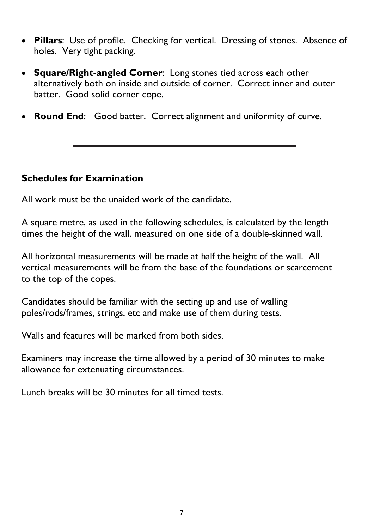- **Pillars**: Use of profile. Checking for vertical. Dressing of stones. Absence of holes. Very tight packing.
- **Square/Right-angled Corner**: Long stones tied across each other alternatively both on inside and outside of corner. Correct inner and outer batter. Good solid corner cope.
- **Round End**: Good batter. Correct alignment and uniformity of curve.

#### **Schedules for Examination**

All work must be the unaided work of the candidate.

A square metre, as used in the following schedules, is calculated by the length times the height of the wall, measured on one side of a double-skinned wall.

All horizontal measurements will be made at half the height of the wall. All vertical measurements will be from the base of the foundations or scarcement to the top of the copes.

Candidates should be familiar with the setting up and use of walling poles/rods/frames, strings, etc and make use of them during tests.

Walls and features will be marked from both sides.

Examiners may increase the time allowed by a period of 30 minutes to make allowance for extenuating circumstances.

Lunch breaks will be 30 minutes for all timed tests.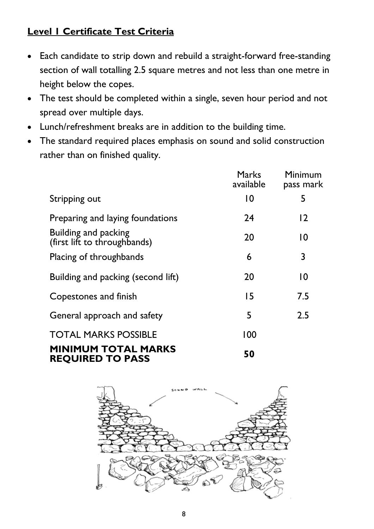# **Level 1 Certificate Test Criteria**

- Each candidate to strip down and rebuild a straight-forward free-standing section of wall totalling 2.5 square metres and not less than one metre in height below the copes.
- The test should be completed within a single, seven hour period and not spread over multiple days.
- Lunch/refreshment breaks are in addition to the building time.
- The standard required places emphasis on sound and solid construction rather than on finished quality.

|                                                       | Marks<br>available | Minimum<br>pass mark |
|-------------------------------------------------------|--------------------|----------------------|
| Stripping out                                         | 10                 | 5                    |
| Preparing and laying foundations                      | 24                 | 12                   |
| Building and packing<br>(first lift to throughbands)  | 20                 | 10                   |
| Placing of throughbands                               | 6                  | 3                    |
| Building and packing (second lift)                    | 20                 | 10                   |
| Copestones and finish                                 | 15                 | 7.5                  |
| General approach and safety                           | 5                  | 2.5                  |
| <b>TOTAL MARKS POSSIBLE</b>                           | 100                |                      |
| <b>MINIMUM TOTAL MARKS</b><br><b>REQUIRED TO PASS</b> | 50                 |                      |

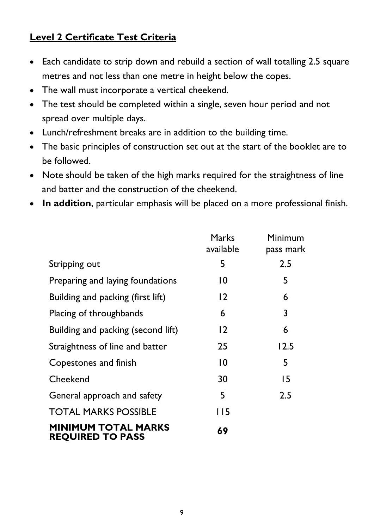# **Level 2 Certificate Test Criteria**

- Each candidate to strip down and rebuild a section of wall totalling 2.5 square metres and not less than one metre in height below the copes.
- The wall must incorporate a vertical cheekend.
- The test should be completed within a single, seven hour period and not spread over multiple days.
- Lunch/refreshment breaks are in addition to the building time.
- The basic principles of construction set out at the start of the booklet are to be followed.
- Note should be taken of the high marks required for the straightness of line and batter and the construction of the cheekend.
- **In addition**, particular emphasis will be placed on a more professional finish.

|                                                       | Marks<br>available | Minimum<br>pass mark |
|-------------------------------------------------------|--------------------|----------------------|
| Stripping out                                         | 5                  | 2.5                  |
| Preparing and laying foundations                      | 10                 | 5                    |
| Building and packing (first lift)                     | $\overline{2}$     | 6                    |
| Placing of throughbands                               | 6                  | 3                    |
| Building and packing (second lift)                    | $\overline{2}$     | 6                    |
| Straightness of line and batter                       | 25                 | 12.5                 |
| Copestones and finish                                 | 10                 | 5                    |
| Cheekend                                              | 30                 | 15                   |
| General approach and safety                           | 5                  | 2.5                  |
| <b>TOTAL MARKS POSSIBLE</b>                           | <b>II5</b>         |                      |
| <b>MINIMUM TOTAL MARKS</b><br><b>REQUIRED TO PASS</b> | 69                 |                      |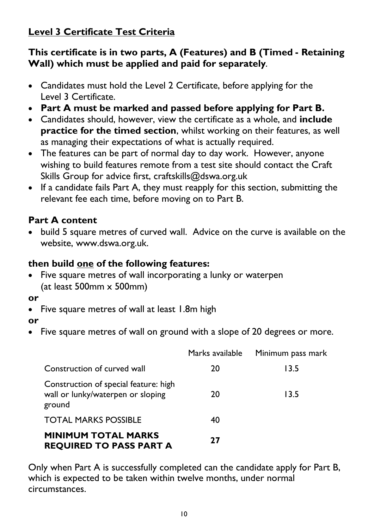# **Level 3 Certificate Test Criteria**

#### **This certificate is in two parts, A (Features) and B (Timed - Retaining Wall) which must be applied and paid for separately**.

- Candidates must hold the Level 2 Certificate, before applying for the Level 3 Certificate.
- **Part A must be marked and passed before applying for Part B.**
- Candidates should, however, view the certificate as a whole, and **include practice for the timed section**, whilst working on their features, as well as managing their expectations of what is actually required.
- The features can be part of normal day to day work. However, anyone wishing to build features remote from a test site should contact the Craft Skills Group for advice first, craftskills@dswa.org.uk
- If a candidate fails Part A, they must reapply for this section, submitting the relevant fee each time, before moving on to Part B.

# **Part A content**

• build 5 square metres of curved wall. Advice on the curve is available on the website, www.dswa.org.uk.

## **then build one of the following features:**

- Five square metres of wall incorporating a lunky or waterpen (at least 500mm x 500mm)
- **or**
- Five square metres of wall at least 1.8m high
- **or**
- Five square metres of wall on ground with a slope of 20 degrees or more.

|                                                                                      | Marks available | Minimum pass mark |
|--------------------------------------------------------------------------------------|-----------------|-------------------|
| Construction of curved wall                                                          | 20              | 13.5              |
| Construction of special feature: high<br>wall or lunky/waterpen or sloping<br>ground | 20              | 13.5              |
| <b>TOTAL MARKS POSSIBLE</b>                                                          | 40              |                   |
| <b>MINIMUM TOTAL MARKS</b><br><b>REQUIRED TO PASS PART A</b>                         | 27              |                   |

Only when Part A is successfully completed can the candidate apply for Part B, which is expected to be taken within twelve months, under normal circumstances.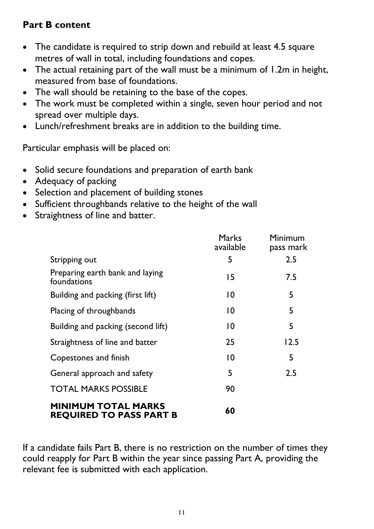## **Part B content**

- The candidate is required to strip down and rebuild at least 4.5 square metres of wall in total, including foundations and copes.
- The actual retaining part of the wall must be a minimum of 1.2m in height, measured from base of foundations.
- The wall should be retaining to the base of the copes.
- The work must be completed within a single, seven hour period and not spread over multiple days.
- Lunch/refreshment breaks are in addition to the building time.

Particular emphasis will be placed on:

- Solid secure foundations and preparation of earth bank
- Adequacy of packing
- Selection and placement of building stones
- Sufficient throughbands relative to the height of the wall
- Straightness of line and batter.

|                                                              | Marks<br>available | Minimum<br>pass mark |
|--------------------------------------------------------------|--------------------|----------------------|
| Stripping out                                                | 5                  | 2.5                  |
| Preparing earth bank and laying<br>foundations               | 15                 | 7.5                  |
| Building and packing (first lift)                            | 10                 | 5                    |
| Placing of throughbands                                      | 10                 | 5                    |
| Building and packing (second lift)                           | 10                 | 5                    |
| Straightness of line and batter                              | 25                 | 12.5                 |
| Copestones and finish                                        | 10                 | 5                    |
| General approach and safety                                  | 5                  | 2.5                  |
| <b>TOTAL MARKS POSSIBLE</b>                                  | 90                 |                      |
| <b>MINIMUM TOTAL MARKS</b><br><b>REQUIRED TO PASS PART B</b> | 60                 |                      |

If a candidate fails Part B, there is no restriction on the number of times they could reapply for Part B within the year since passing Part A, providing the relevant fee is submitted with each application.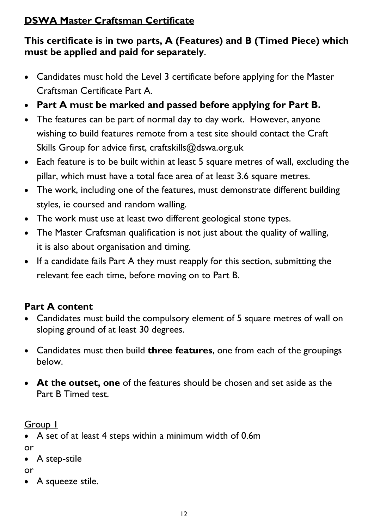# **DSWA Master Craftsman Certificate**

# **This certificate is in two parts, A (Features) and B (Timed Piece) which must be applied and paid for separately**.

- Candidates must hold the Level 3 certificate before applying for the Master Craftsman Certificate Part A.
- **Part A must be marked and passed before applying for Part B.**
- The features can be part of normal day to day work. However, anyone wishing to build features remote from a test site should contact the Craft Skills Group for advice first, craftskills@dswa.org.uk
- Each feature is to be built within at least 5 square metres of wall, excluding the pillar, which must have a total face area of at least 3.6 square metres.
- The work, including one of the features, must demonstrate different building styles, ie coursed and random walling.
- The work must use at least two different geological stone types.
- The Master Craftsman qualification is not just about the quality of walling, it is also about organisation and timing.
- If a candidate fails Part A they must reapply for this section, submitting the relevant fee each time, before moving on to Part B.

# **Part A content**

- Candidates must build the compulsory element of 5 square metres of wall on sloping ground of at least 30 degrees.
- Candidates must then build **three features**, one from each of the groupings below.
- **At the outset, one** of the features should be chosen and set aside as the Part B Timed test.

# Group 1

• A set of at least 4 steps within a minimum width of 0.6m

or

• A step-stile

or

A squeeze stile.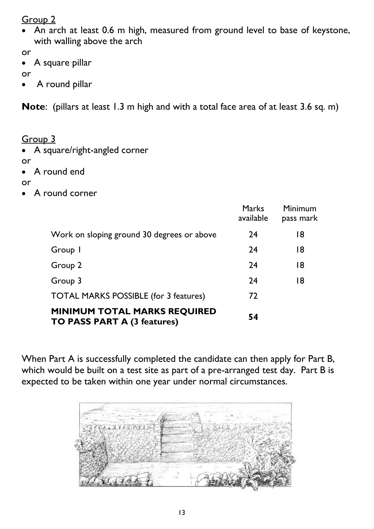Group 2

An arch at least 0.6 m high, measured from ground level to base of keystone, with walling above the arch

or

• A square pillar

or

• A round pillar

**Note**: (pillars at least 1.3 m high and with a total face area of at least 3.6 sq. m)

# Group 3

• A square/right-angled corner

or

• A round end

or

• A round corner

|                                                                    | Marks<br>available | Minimum<br>pass mark |
|--------------------------------------------------------------------|--------------------|----------------------|
| Work on sloping ground 30 degrees or above                         | 24                 | 18                   |
| Group I                                                            | 24                 | 18                   |
| Group 2                                                            | 24                 | 18                   |
| Group 3                                                            | 24                 | 18                   |
| TOTAL MARKS POSSIBLE (for 3 features)                              | 72                 |                      |
| <b>MINIMUM TOTAL MARKS REQUIRED</b><br>TO PASS PART A (3 features) | 54                 |                      |

When Part A is successfully completed the candidate can then apply for Part B, which would be built on a test site as part of a pre-arranged test day. Part B is expected to be taken within one year under normal circumstances.

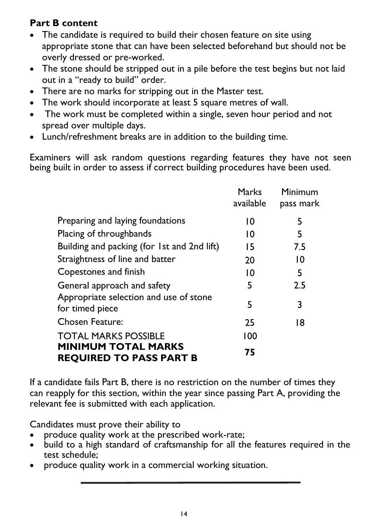# **Part B content**

- The candidate is required to build their chosen feature on site using appropriate stone that can have been selected beforehand but should not be overly dressed or pre-worked.
- The stone should be stripped out in a pile before the test begins but not laid out in a "ready to build" order.
- There are no marks for stripping out in the Master test.
- The work should incorporate at least 5 square metres of wall.
- The work must be completed within a single, seven hour period and not spread over multiple days.
- Lunch/refreshment breaks are in addition to the building time.

Examiners will ask random questions regarding features they have not seen being built in order to assess if correct building procedures have been used.

|                                                           | Marks<br>available | Minimum<br>pass mark |
|-----------------------------------------------------------|--------------------|----------------------|
| Preparing and laying foundations                          | 10                 | 5                    |
| Placing of throughbands                                   | 10                 | 5                    |
| Building and packing (for 1st and 2nd lift)               | 15                 | 7.5                  |
| Straightness of line and batter                           | 20                 | $\overline{10}$      |
| Copestones and finish                                     | 10                 | 5                    |
| General approach and safety                               | 5                  | 2.5                  |
| Appropriate selection and use of stone<br>for timed piece | 5                  | 3                    |
| Chosen Feature:                                           | 25                 | 18                   |
| <b>TOTAL MARKS POSSIBLE</b>                               | 100                |                      |
| MINIMUM TOTAL MARKS<br><b>REQUIRED TO PASS PART B</b>     | 75                 |                      |

If a candidate fails Part B, there is no restriction on the number of times they can reapply for this section, within the year since passing Part A, providing the relevant fee is submitted with each application.

Candidates must prove their ability to

- produce quality work at the prescribed work-rate;
- build to a high standard of craftsmanship for all the features required in the test schedule;
- produce quality work in a commercial working situation.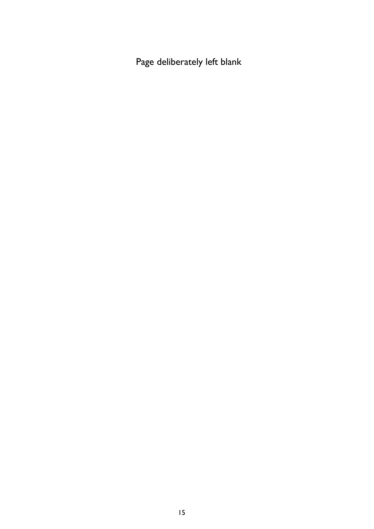Page deliberately left blank